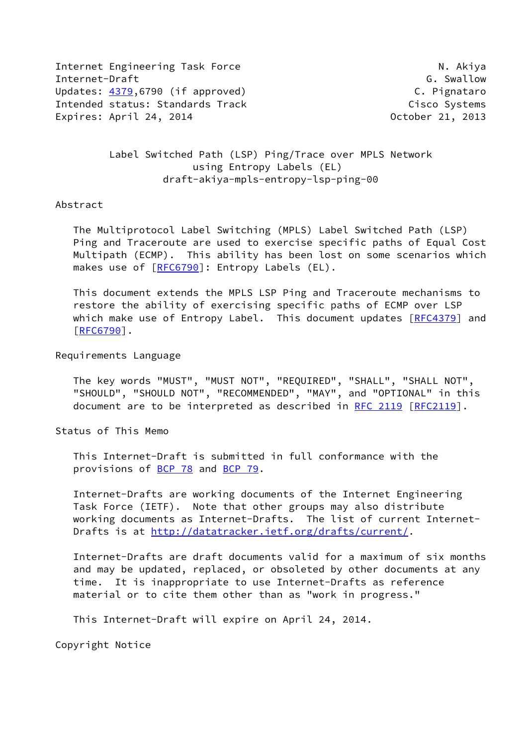Internet Engineering Task Force N. Akiya Internet-Draft G. Swallow Updates: [4379](https://datatracker.ietf.org/doc/pdf/rfc4379),6790 (if approved) C. Pignataro Intended status: Standards Track Cisco Systems Expires: April 24, 2014 **Canadian Control** Corober 21, 2013

 Label Switched Path (LSP) Ping/Trace over MPLS Network using Entropy Labels (EL) draft-akiya-mpls-entropy-lsp-ping-00

## Abstract

 The Multiprotocol Label Switching (MPLS) Label Switched Path (LSP) Ping and Traceroute are used to exercise specific paths of Equal Cost Multipath (ECMP). This ability has been lost on some scenarios which makes use of [\[RFC6790](https://datatracker.ietf.org/doc/pdf/rfc6790)]: Entropy Labels (EL).

 This document extends the MPLS LSP Ping and Traceroute mechanisms to restore the ability of exercising specific paths of ECMP over LSP which make use of Entropy Label. This document updates [\[RFC4379](https://datatracker.ietf.org/doc/pdf/rfc4379)] and [\[RFC6790](https://datatracker.ietf.org/doc/pdf/rfc6790)].

## Requirements Language

 The key words "MUST", "MUST NOT", "REQUIRED", "SHALL", "SHALL NOT", "SHOULD", "SHOULD NOT", "RECOMMENDED", "MAY", and "OPTIONAL" in this document are to be interpreted as described in [RFC 2119 \[RFC2119](https://datatracker.ietf.org/doc/pdf/rfc2119)].

Status of This Memo

 This Internet-Draft is submitted in full conformance with the provisions of [BCP 78](https://datatracker.ietf.org/doc/pdf/bcp78) and [BCP 79](https://datatracker.ietf.org/doc/pdf/bcp79).

 Internet-Drafts are working documents of the Internet Engineering Task Force (IETF). Note that other groups may also distribute working documents as Internet-Drafts. The list of current Internet- Drafts is at<http://datatracker.ietf.org/drafts/current/>.

 Internet-Drafts are draft documents valid for a maximum of six months and may be updated, replaced, or obsoleted by other documents at any time. It is inappropriate to use Internet-Drafts as reference material or to cite them other than as "work in progress."

This Internet-Draft will expire on April 24, 2014.

Copyright Notice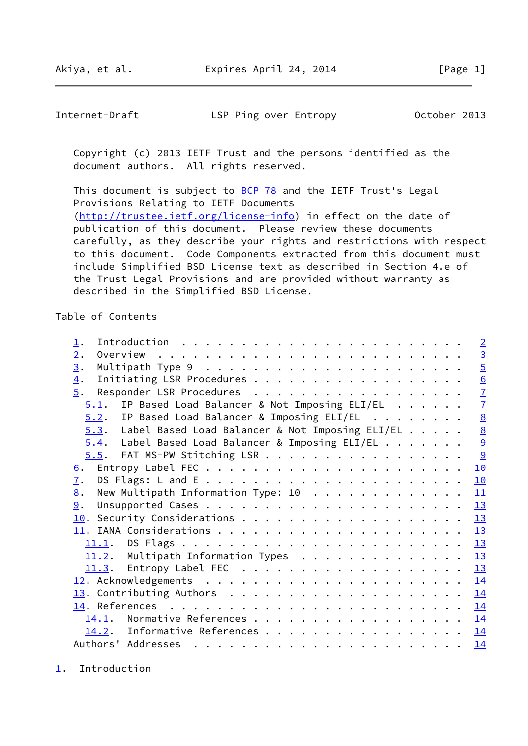<span id="page-1-1"></span>Internet-Draft LSP Ping over Entropy October 2013

 Copyright (c) 2013 IETF Trust and the persons identified as the document authors. All rights reserved.

This document is subject to **[BCP 78](https://datatracker.ietf.org/doc/pdf/bcp78)** and the IETF Trust's Legal Provisions Relating to IETF Documents [\(http://trustee.ietf.org/license-info](http://trustee.ietf.org/license-info)) in effect on the date of publication of this document. Please review these documents carefully, as they describe your rights and restrictions with respect to this document. Code Components extracted from this document must include Simplified BSD License text as described in Section 4.e of the Trust Legal Provisions and are provided without warranty as described in the Simplified BSD License.

Table of Contents

| $\mathbf 1$ .                                                                                                                                                                                                                                                                                                                                                                                                                                                                                                 |  |  | $\overline{2}$            |
|---------------------------------------------------------------------------------------------------------------------------------------------------------------------------------------------------------------------------------------------------------------------------------------------------------------------------------------------------------------------------------------------------------------------------------------------------------------------------------------------------------------|--|--|---------------------------|
| 2.                                                                                                                                                                                                                                                                                                                                                                                                                                                                                                            |  |  | $\overline{3}$            |
| 3.                                                                                                                                                                                                                                                                                                                                                                                                                                                                                                            |  |  | $\overline{5}$            |
| $\overline{4}$ .                                                                                                                                                                                                                                                                                                                                                                                                                                                                                              |  |  | $\underline{6}$           |
| 5.                                                                                                                                                                                                                                                                                                                                                                                                                                                                                                            |  |  | $\underline{\mathcal{I}}$ |
| IP Based Load Balancer & Not Imposing ELI/EL<br>5.1.                                                                                                                                                                                                                                                                                                                                                                                                                                                          |  |  | $\overline{1}$            |
| $5.2$ . IP Based Load Balancer & Imposing ELI/EL                                                                                                                                                                                                                                                                                                                                                                                                                                                              |  |  | $\underline{8}$           |
| $5.3$ . Label Based Load Balancer & Not Imposing ELI/EL                                                                                                                                                                                                                                                                                                                                                                                                                                                       |  |  | $\underline{8}$           |
| $5.4$ . Label Based Load Balancer & Imposing ELI/EL                                                                                                                                                                                                                                                                                                                                                                                                                                                           |  |  | 9                         |
| 5.5. FAT MS-PW Stitching LSR                                                                                                                                                                                                                                                                                                                                                                                                                                                                                  |  |  | 9                         |
| 6.                                                                                                                                                                                                                                                                                                                                                                                                                                                                                                            |  |  | 10                        |
| $\overline{1}$ .                                                                                                                                                                                                                                                                                                                                                                                                                                                                                              |  |  | 10                        |
| New Multipath Information Type: 10<br>8.                                                                                                                                                                                                                                                                                                                                                                                                                                                                      |  |  | 11                        |
| 9.                                                                                                                                                                                                                                                                                                                                                                                                                                                                                                            |  |  | 13                        |
|                                                                                                                                                                                                                                                                                                                                                                                                                                                                                                               |  |  | 13                        |
|                                                                                                                                                                                                                                                                                                                                                                                                                                                                                                               |  |  | 13                        |
|                                                                                                                                                                                                                                                                                                                                                                                                                                                                                                               |  |  |                           |
|                                                                                                                                                                                                                                                                                                                                                                                                                                                                                                               |  |  | 13                        |
| 11.2. Multipath Information Types 13                                                                                                                                                                                                                                                                                                                                                                                                                                                                          |  |  |                           |
|                                                                                                                                                                                                                                                                                                                                                                                                                                                                                                               |  |  | 13                        |
|                                                                                                                                                                                                                                                                                                                                                                                                                                                                                                               |  |  | 14                        |
|                                                                                                                                                                                                                                                                                                                                                                                                                                                                                                               |  |  | 14                        |
|                                                                                                                                                                                                                                                                                                                                                                                                                                                                                                               |  |  | 14                        |
| 14.1. Normative References                                                                                                                                                                                                                                                                                                                                                                                                                                                                                    |  |  | 14                        |
| 14.2. Informative References                                                                                                                                                                                                                                                                                                                                                                                                                                                                                  |  |  | 14                        |
| Authors' Addresses<br>$\mathbf{r}^{\mathsf{T}} \cdot \mathbf{r}^{\mathsf{T}} \cdot \mathbf{r}^{\mathsf{T}} \cdot \mathbf{r}^{\mathsf{T}} \cdot \mathbf{r}^{\mathsf{T}} \cdot \mathbf{r}^{\mathsf{T}} \cdot \mathbf{r}^{\mathsf{T}} \cdot \mathbf{r}^{\mathsf{T}} \cdot \mathbf{r}^{\mathsf{T}} \cdot \mathbf{r}^{\mathsf{T}} \cdot \mathbf{r}^{\mathsf{T}} \cdot \mathbf{r}^{\mathsf{T}} \cdot \mathbf{r}^{\mathsf{T}} \cdot \mathbf{r}^{\mathsf{T}} \cdot \mathbf{r}^{\mathsf{T}} \cdot \mathbf{r}^{\mathsf$ |  |  | <u>14</u>                 |

<span id="page-1-0"></span>[1](#page-1-0). Introduction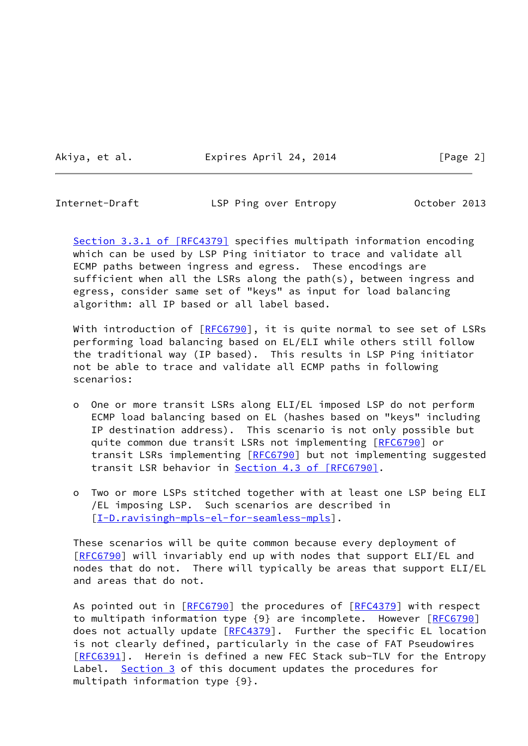Akiya, et al. Expires April 24, 2014 [Page 2]

<span id="page-2-0"></span>Internet-Draft LSP Ping over Entropy October 2013

Section [3.3.1 of \[RFC4379\]](https://datatracker.ietf.org/doc/pdf/rfc4379#section-3.3.1) specifies multipath information encoding which can be used by LSP Ping initiator to trace and validate all ECMP paths between ingress and egress. These encodings are sufficient when all the LSRs along the path(s), between ingress and egress, consider same set of "keys" as input for load balancing algorithm: all IP based or all label based.

With introduction of [\[RFC6790](https://datatracker.ietf.org/doc/pdf/rfc6790)], it is quite normal to see set of LSRs performing load balancing based on EL/ELI while others still follow the traditional way (IP based). This results in LSP Ping initiator not be able to trace and validate all ECMP paths in following scenarios:

- o One or more transit LSRs along ELI/EL imposed LSP do not perform ECMP load balancing based on EL (hashes based on "keys" including IP destination address). This scenario is not only possible but quite common due transit LSRs not implementing [[RFC6790](https://datatracker.ietf.org/doc/pdf/rfc6790)] or transit LSRs implementing [\[RFC6790](https://datatracker.ietf.org/doc/pdf/rfc6790)] but not implementing suggested transit LSR behavior in Section [4.3 of \[RFC6790\].](https://datatracker.ietf.org/doc/pdf/rfc6790#section-4.3)
- o Two or more LSPs stitched together with at least one LSP being ELI /EL imposing LSP. Such scenarios are described in [[I-D.ravisingh-mpls-el-for-seamless-mpls\]](#page-15-3).

 These scenarios will be quite common because every deployment of [\[RFC6790](https://datatracker.ietf.org/doc/pdf/rfc6790)] will invariably end up with nodes that support ELI/EL and nodes that do not. There will typically be areas that support ELI/EL and areas that do not.

As pointed out in [[RFC6790](https://datatracker.ietf.org/doc/pdf/rfc6790)] the procedures of [[RFC4379](https://datatracker.ietf.org/doc/pdf/rfc4379)] with respect to multipath information type {9} are incomplete. However [[RFC6790\]](https://datatracker.ietf.org/doc/pdf/rfc6790) does not actually update [\[RFC4379](https://datatracker.ietf.org/doc/pdf/rfc4379)]. Further the specific EL location is not clearly defined, particularly in the case of FAT Pseudowires [\[RFC6391](https://datatracker.ietf.org/doc/pdf/rfc6391)]. Herein is defined a new FEC Stack sub-TLV for the Entropy Label. [Section 3](#page-4-0) of this document updates the procedures for multipath information type {9}.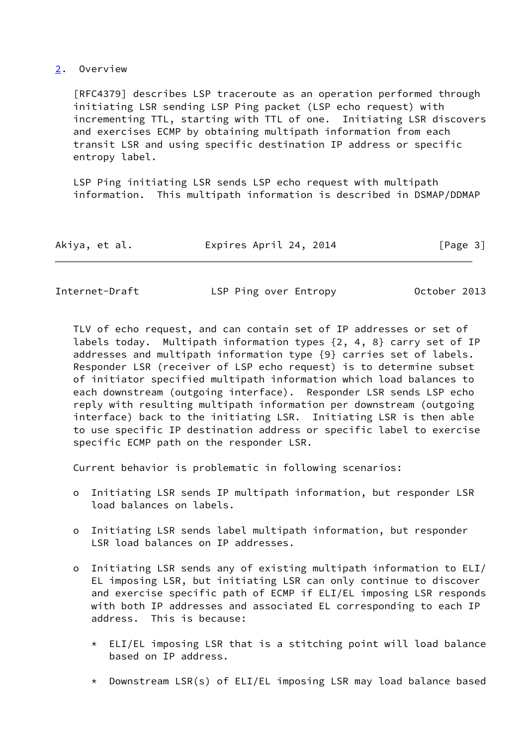## <span id="page-3-0"></span>[2](#page-3-0). Overview

 [RFC4379] describes LSP traceroute as an operation performed through initiating LSR sending LSP Ping packet (LSP echo request) with incrementing TTL, starting with TTL of one. Initiating LSR discovers and exercises ECMP by obtaining multipath information from each transit LSR and using specific destination IP address or specific entropy label.

 LSP Ping initiating LSR sends LSP echo request with multipath information. This multipath information is described in DSMAP/DDMAP

| Akiya, et al. |  | Expires April 24, 2014 | [Page 3] |
|---------------|--|------------------------|----------|
|---------------|--|------------------------|----------|

| Internet-Draft | LSP Ping over Entropy | October 2013 |
|----------------|-----------------------|--------------|
|                |                       |              |

 TLV of echo request, and can contain set of IP addresses or set of labels today. Multipath information types {2, 4, 8} carry set of IP addresses and multipath information type {9} carries set of labels. Responder LSR (receiver of LSP echo request) is to determine subset of initiator specified multipath information which load balances to each downstream (outgoing interface). Responder LSR sends LSP echo reply with resulting multipath information per downstream (outgoing interface) back to the initiating LSR. Initiating LSR is then able to use specific IP destination address or specific label to exercise specific ECMP path on the responder LSR.

Current behavior is problematic in following scenarios:

- o Initiating LSR sends IP multipath information, but responder LSR load balances on labels.
- o Initiating LSR sends label multipath information, but responder LSR load balances on IP addresses.
- o Initiating LSR sends any of existing multipath information to ELI/ EL imposing LSR, but initiating LSR can only continue to discover and exercise specific path of ECMP if ELI/EL imposing LSR responds with both IP addresses and associated EL corresponding to each IP address. This is because:
	- $*$  ELI/EL imposing LSR that is a stitching point will load balance based on IP address.
	- \* Downstream LSR(s) of ELI/EL imposing LSR may load balance based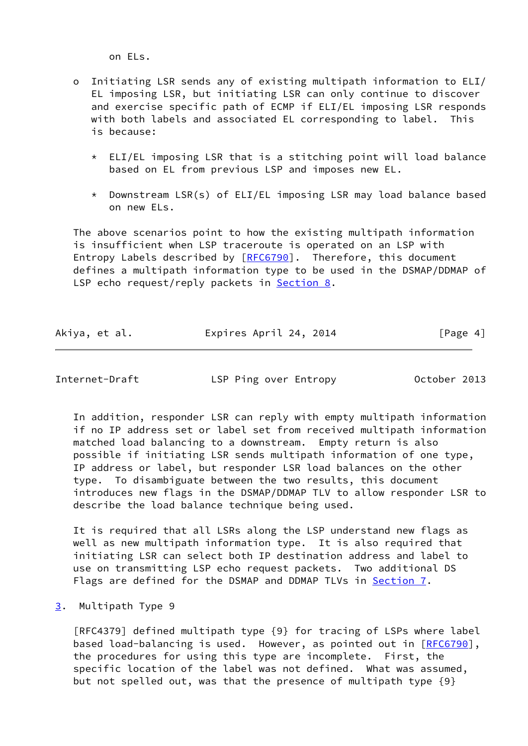on ELs.

- o Initiating LSR sends any of existing multipath information to ELI/ EL imposing LSR, but initiating LSR can only continue to discover and exercise specific path of ECMP if ELI/EL imposing LSR responds with both labels and associated EL corresponding to label. This is because:
	- \* ELI/EL imposing LSR that is a stitching point will load balance based on EL from previous LSP and imposes new EL.
	- \* Downstream LSR(s) of ELI/EL imposing LSR may load balance based on new ELs.

 The above scenarios point to how the existing multipath information is insufficient when LSP traceroute is operated on an LSP with Entropy Labels described by [\[RFC6790](https://datatracker.ietf.org/doc/pdf/rfc6790)]. Therefore, this document defines a multipath information type to be used in the DSMAP/DDMAP of LSP echo request/reply packets in [Section 8.](#page-12-0)

|  | Akiya, et al. |  | Expires April 24, 2014 |  | [Page 4] |
|--|---------------|--|------------------------|--|----------|
|--|---------------|--|------------------------|--|----------|

<span id="page-4-1"></span>Internet-Draft LSP Ping over Entropy October 2013

 In addition, responder LSR can reply with empty multipath information if no IP address set or label set from received multipath information matched load balancing to a downstream. Empty return is also possible if initiating LSR sends multipath information of one type, IP address or label, but responder LSR load balances on the other type. To disambiguate between the two results, this document introduces new flags in the DSMAP/DDMAP TLV to allow responder LSR to describe the load balance technique being used.

 It is required that all LSRs along the LSP understand new flags as well as new multipath information type. It is also required that initiating LSR can select both IP destination address and label to use on transmitting LSP echo request packets. Two additional DS Flags are defined for the DSMAP and DDMAP TLVs in [Section 7.](#page-10-2)

<span id="page-4-0"></span>[3](#page-4-0). Multipath Type 9

 [RFC4379] defined multipath type {9} for tracing of LSPs where label based load-balancing is used. However, as pointed out in [[RFC6790](https://datatracker.ietf.org/doc/pdf/rfc6790)], the procedures for using this type are incomplete. First, the specific location of the label was not defined. What was assumed, but not spelled out, was that the presence of multipath type {9}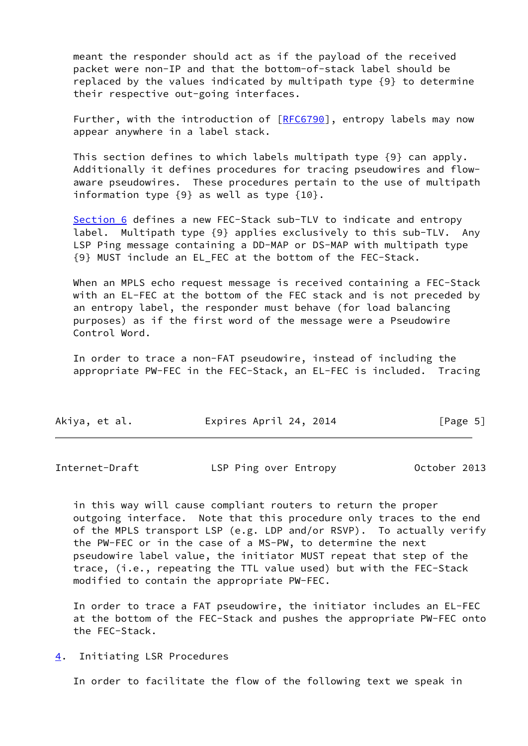meant the responder should act as if the payload of the received packet were non-IP and that the bottom-of-stack label should be replaced by the values indicated by multipath type {9} to determine their respective out-going interfaces.

Further, with the introduction of [[RFC6790](https://datatracker.ietf.org/doc/pdf/rfc6790)], entropy labels may now appear anywhere in a label stack.

 This section defines to which labels multipath type {9} can apply. Additionally it defines procedures for tracing pseudowires and flow aware pseudowires. These procedures pertain to the use of multipath information type {9} as well as type {10}.

[Section 6](#page-10-0) defines a new FEC-Stack sub-TLV to indicate and entropy label. Multipath type {9} applies exclusively to this sub-TLV. Any LSP Ping message containing a DD-MAP or DS-MAP with multipath type {9} MUST include an EL\_FEC at the bottom of the FEC-Stack.

When an MPLS echo request message is received containing a FEC-Stack with an EL-FEC at the bottom of the FEC stack and is not preceded by an entropy label, the responder must behave (for load balancing purposes) as if the first word of the message were a Pseudowire Control Word.

 In order to trace a non-FAT pseudowire, instead of including the appropriate PW-FEC in the FEC-Stack, an EL-FEC is included. Tracing

| Akiya, et al. | Expires April 24, 2014 | [Page 5] |
|---------------|------------------------|----------|
|---------------|------------------------|----------|

<span id="page-5-1"></span>Internet-Draft LSP Ping over Entropy October 2013

 in this way will cause compliant routers to return the proper outgoing interface. Note that this procedure only traces to the end of the MPLS transport LSP (e.g. LDP and/or RSVP). To actually verify the PW-FEC or in the case of a MS-PW, to determine the next pseudowire label value, the initiator MUST repeat that step of the trace, (i.e., repeating the TTL value used) but with the FEC-Stack modified to contain the appropriate PW-FEC.

 In order to trace a FAT pseudowire, the initiator includes an EL-FEC at the bottom of the FEC-Stack and pushes the appropriate PW-FEC onto the FEC-Stack.

<span id="page-5-0"></span>[4](#page-5-0). Initiating LSR Procedures

In order to facilitate the flow of the following text we speak in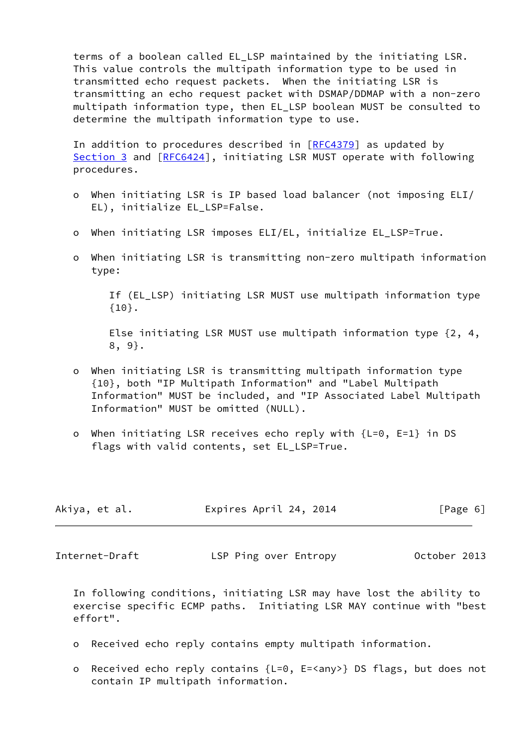terms of a boolean called EL\_LSP maintained by the initiating LSR. This value controls the multipath information type to be used in transmitted echo request packets. When the initiating LSR is transmitting an echo request packet with DSMAP/DDMAP with a non-zero multipath information type, then EL\_LSP boolean MUST be consulted to determine the multipath information type to use.

In addition to procedures described in [\[RFC4379](https://datatracker.ietf.org/doc/pdf/rfc4379)] as updated by [Section 3](#page-4-0) and [[RFC6424](https://datatracker.ietf.org/doc/pdf/rfc6424)], initiating LSR MUST operate with following procedures.

- o When initiating LSR is IP based load balancer (not imposing ELI/ EL), initialize EL\_LSP=False.
- o When initiating LSR imposes ELI/EL, initialize EL\_LSP=True.
- o When initiating LSR is transmitting non-zero multipath information type:

 If (EL\_LSP) initiating LSR MUST use multipath information type {10}.

 Else initiating LSR MUST use multipath information type {2, 4, 8, 9}.

- o When initiating LSR is transmitting multipath information type {10}, both "IP Multipath Information" and "Label Multipath Information" MUST be included, and "IP Associated Label Multipath Information" MUST be omitted (NULL).
- o When initiating LSR receives echo reply with {L=0, E=1} in DS flags with valid contents, set EL LSP=True.

| Akiya, et al. | Expires April 24, 2014 | [Page 6] |
|---------------|------------------------|----------|
|---------------|------------------------|----------|

<span id="page-6-0"></span>Internet-Draft LSP Ping over Entropy October 2013

 In following conditions, initiating LSR may have lost the ability to exercise specific ECMP paths. Initiating LSR MAY continue with "best effort".

- o Received echo reply contains empty multipath information.
- o Received echo reply contains {L=0, E=<any>} DS flags, but does not contain IP multipath information.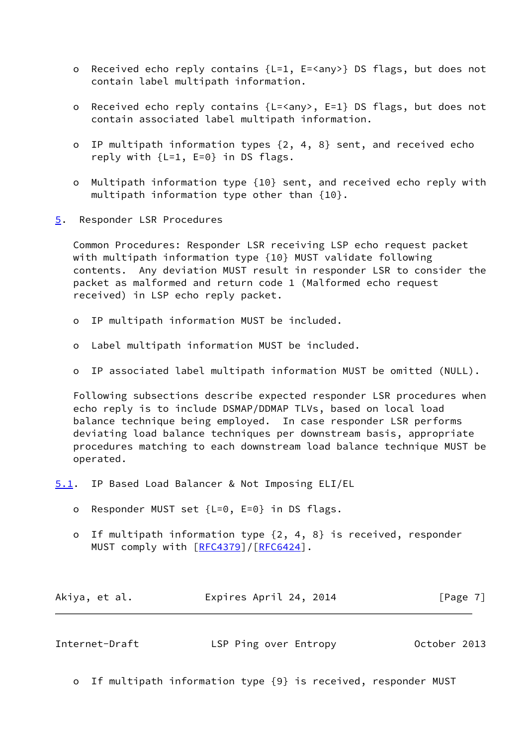- o Received echo reply contains {L=1, E=<any>} DS flags, but does not contain label multipath information.
- o Received echo reply contains {L=<any>, E=1} DS flags, but does not contain associated label multipath information.
- o IP multipath information types {2, 4, 8} sent, and received echo reply with  $\{L=1, E=0\}$  in DS flags.
- o Multipath information type {10} sent, and received echo reply with multipath information type other than {10}.
- <span id="page-7-0"></span>[5](#page-7-0). Responder LSR Procedures

 Common Procedures: Responder LSR receiving LSP echo request packet with multipath information type {10} MUST validate following contents. Any deviation MUST result in responder LSR to consider the packet as malformed and return code 1 (Malformed echo request received) in LSP echo reply packet.

- o IP multipath information MUST be included.
- o Label multipath information MUST be included.
- o IP associated label multipath information MUST be omitted (NULL).

 Following subsections describe expected responder LSR procedures when echo reply is to include DSMAP/DDMAP TLVs, based on local load balance technique being employed. In case responder LSR performs deviating load balance techniques per downstream basis, appropriate procedures matching to each downstream load balance technique MUST be operated.

<span id="page-7-1"></span>[5.1](#page-7-1). IP Based Load Balancer & Not Imposing ELI/EL

- o Responder MUST set {L=0, E=0} in DS flags.
- o If multipath information type {2, 4, 8} is received, responder MUST comply with  $[REC4379]/[REC6424]$ .

| Akiya, et al. | Expires April 24, 2014 | [Page 7] |
|---------------|------------------------|----------|
|---------------|------------------------|----------|

<span id="page-7-2"></span>

| Internet-Draft | LSP Ping over Entropy | October 2013 |
|----------------|-----------------------|--------------|
|----------------|-----------------------|--------------|

o If multipath information type {9} is received, responder MUST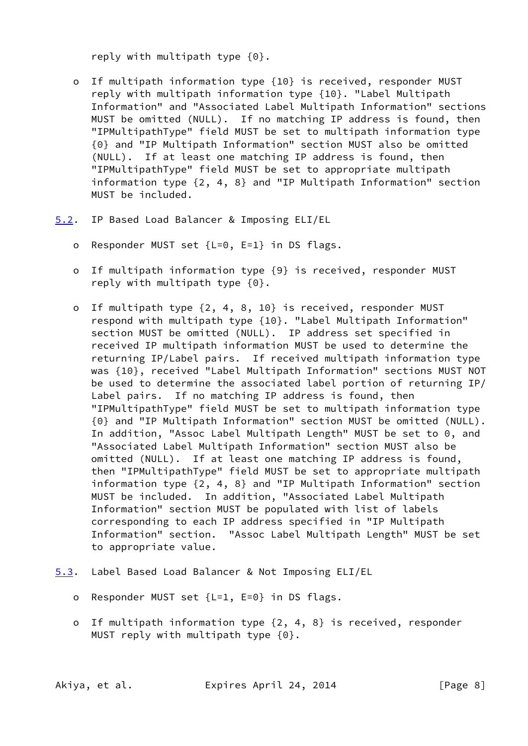reply with multipath type {0}.

- o If multipath information type {10} is received, responder MUST reply with multipath information type {10}. "Label Multipath Information" and "Associated Label Multipath Information" sections MUST be omitted (NULL). If no matching IP address is found, then "IPMultipathType" field MUST be set to multipath information type {0} and "IP Multipath Information" section MUST also be omitted (NULL). If at least one matching IP address is found, then "IPMultipathType" field MUST be set to appropriate multipath information type {2, 4, 8} and "IP Multipath Information" section MUST be included.
- <span id="page-8-0"></span>[5.2](#page-8-0). IP Based Load Balancer & Imposing ELI/EL
	- o Responder MUST set {L=0, E=1} in DS flags.
	- o If multipath information type {9} is received, responder MUST reply with multipath type {0}.
	- o If multipath type {2, 4, 8, 10} is received, responder MUST respond with multipath type {10}. "Label Multipath Information" section MUST be omitted (NULL). IP address set specified in received IP multipath information MUST be used to determine the returning IP/Label pairs. If received multipath information type was {10}, received "Label Multipath Information" sections MUST NOT be used to determine the associated label portion of returning IP/ Label pairs. If no matching IP address is found, then "IPMultipathType" field MUST be set to multipath information type {0} and "IP Multipath Information" section MUST be omitted (NULL). In addition, "Assoc Label Multipath Length" MUST be set to 0, and "Associated Label Multipath Information" section MUST also be omitted (NULL). If at least one matching IP address is found, then "IPMultipathType" field MUST be set to appropriate multipath information type {2, 4, 8} and "IP Multipath Information" section MUST be included. In addition, "Associated Label Multipath Information" section MUST be populated with list of labels corresponding to each IP address specified in "IP Multipath Information" section. "Assoc Label Multipath Length" MUST be set to appropriate value.
- <span id="page-8-1"></span>[5.3](#page-8-1). Label Based Load Balancer & Not Imposing ELI/EL
	- o Responder MUST set {L=1, E=0} in DS flags.
	- o If multipath information type {2, 4, 8} is received, responder MUST reply with multipath type {0}.

Akiya, et al. Expires April 24, 2014 [Page 8]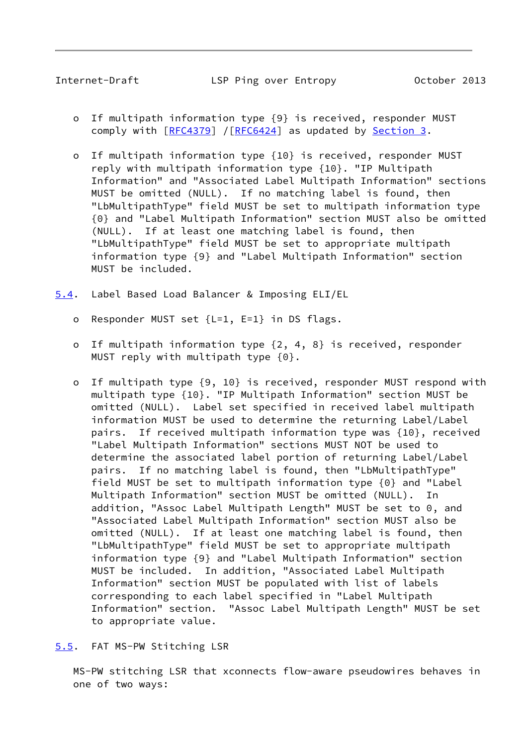- <span id="page-9-1"></span> o If multipath information type {9} is received, responder MUST comply with [\[RFC4379](https://datatracker.ietf.org/doc/pdf/rfc4379)] /[[RFC6424](https://datatracker.ietf.org/doc/pdf/rfc6424)] as updated by [Section 3.](#page-4-0)
- o If multipath information type {10} is received, responder MUST reply with multipath information type {10}. "IP Multipath Information" and "Associated Label Multipath Information" sections MUST be omitted (NULL). If no matching label is found, then "LbMultipathType" field MUST be set to multipath information type {0} and "Label Multipath Information" section MUST also be omitted (NULL). If at least one matching label is found, then "LbMultipathType" field MUST be set to appropriate multipath information type {9} and "Label Multipath Information" section MUST be included.
- <span id="page-9-0"></span>[5.4](#page-9-0). Label Based Load Balancer & Imposing ELI/EL
	- o Responder MUST set {L=1, E=1} in DS flags.
	- o If multipath information type {2, 4, 8} is received, responder MUST reply with multipath type {0}.
	- o If multipath type {9, 10} is received, responder MUST respond with multipath type {10}. "IP Multipath Information" section MUST be omitted (NULL). Label set specified in received label multipath information MUST be used to determine the returning Label/Label pairs. If received multipath information type was {10}, received "Label Multipath Information" sections MUST NOT be used to determine the associated label portion of returning Label/Label pairs. If no matching label is found, then "LbMultipathType" field MUST be set to multipath information type {0} and "Label Multipath Information" section MUST be omitted (NULL). In addition, "Assoc Label Multipath Length" MUST be set to 0, and "Associated Label Multipath Information" section MUST also be omitted (NULL). If at least one matching label is found, then "LbMultipathType" field MUST be set to appropriate multipath information type {9} and "Label Multipath Information" section MUST be included. In addition, "Associated Label Multipath Information" section MUST be populated with list of labels corresponding to each label specified in "Label Multipath Information" section. "Assoc Label Multipath Length" MUST be set to appropriate value.
- <span id="page-9-2"></span>[5.5](#page-9-2). FAT MS-PW Stitching LSR

 MS-PW stitching LSR that xconnects flow-aware pseudowires behaves in one of two ways: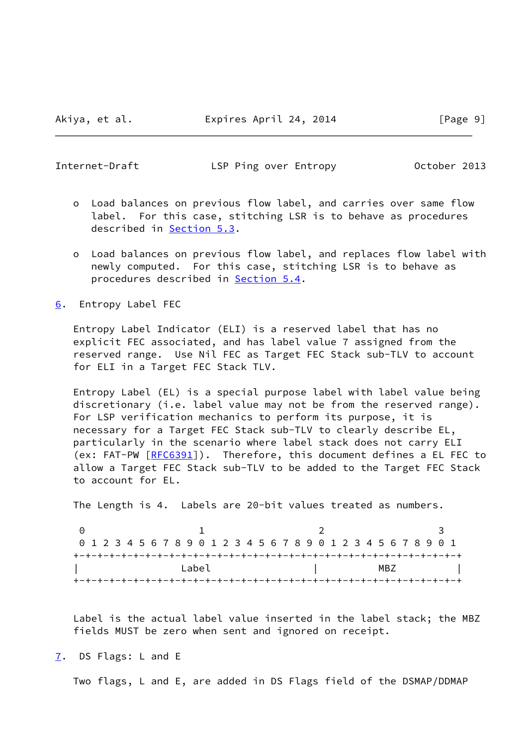<span id="page-10-1"></span>Internet-Draft LSP Ping over Entropy October 2013

- o Load balances on previous flow label, and carries over same flow label. For this case, stitching LSR is to behave as procedures described in [Section 5.3](#page-8-1).
- o Load balances on previous flow label, and replaces flow label with newly computed. For this case, stitching LSR is to behave as procedures described in [Section 5.4](#page-9-0).

<span id="page-10-0"></span>[6](#page-10-0). Entropy Label FEC

 Entropy Label Indicator (ELI) is a reserved label that has no explicit FEC associated, and has label value 7 assigned from the reserved range. Use Nil FEC as Target FEC Stack sub-TLV to account for ELI in a Target FEC Stack TLV.

 Entropy Label (EL) is a special purpose label with label value being discretionary (i.e. label value may not be from the reserved range). For LSP verification mechanics to perform its purpose, it is necessary for a Target FEC Stack sub-TLV to clearly describe EL, particularly in the scenario where label stack does not carry ELI (ex: FAT-PW [\[RFC6391](https://datatracker.ietf.org/doc/pdf/rfc6391)]). Therefore, this document defines a EL FEC to allow a Target FEC Stack sub-TLV to be added to the Target FEC Stack to account for EL.

The Length is 4. Labels are 20-bit values treated as numbers.

0 1 2 3 0 1 2 3 4 5 6 7 8 9 0 1 2 3 4 5 6 7 8 9 0 1 2 3 4 5 6 7 8 9 0 1 +-+-+-+-+-+-+-+-+-+-+-+-+-+-+-+-+-+-+-+-+-+-+-+-+-+-+-+-+-+-+-+-+ | Label | MBZ | +-+-+-+-+-+-+-+-+-+-+-+-+-+-+-+-+-+-+-+-+-+-+-+-+-+-+-+-+-+-+-+-+

 Label is the actual label value inserted in the label stack; the MBZ fields MUST be zero when sent and ignored on receipt.

<span id="page-10-2"></span>[7](#page-10-2). DS Flags: L and E

Two flags, L and E, are added in DS Flags field of the DSMAP/DDMAP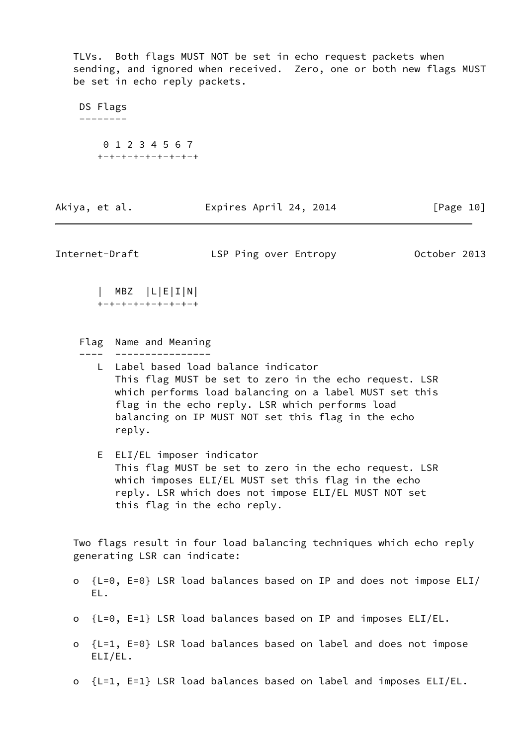TLVs. Both flags MUST NOT be set in echo request packets when sending, and ignored when received. Zero, one or both new flags MUST be set in echo reply packets.

 DS Flags -------- 0 1 2 3 4 5 6 7 +-+-+-+-+-+-+-+-+

| Akiya, et al. | Expires April 24, 2014 | [Page 10] |
|---------------|------------------------|-----------|
|               |                        |           |

<span id="page-11-0"></span>Internet-Draft LSP Ping over Entropy October 2013

 | MBZ |L|E|I|N| +-+-+-+-+-+-+-+-+

- Flag Name and Meaning ---- ----------------
	- L Label based load balance indicator This flag MUST be set to zero in the echo request. LSR which performs load balancing on a label MUST set this flag in the echo reply. LSR which performs load balancing on IP MUST NOT set this flag in the echo reply.
	- E ELI/EL imposer indicator This flag MUST be set to zero in the echo request. LSR which imposes ELI/EL MUST set this flag in the echo reply. LSR which does not impose ELI/EL MUST NOT set this flag in the echo reply.

 Two flags result in four load balancing techniques which echo reply generating LSR can indicate:

- o {L=0, E=0} LSR load balances based on IP and does not impose ELI/ EL.
- o {L=0, E=1} LSR load balances based on IP and imposes ELI/EL.
- o {L=1, E=0} LSR load balances based on label and does not impose ELI/EL.
- o {L=1, E=1} LSR load balances based on label and imposes ELI/EL.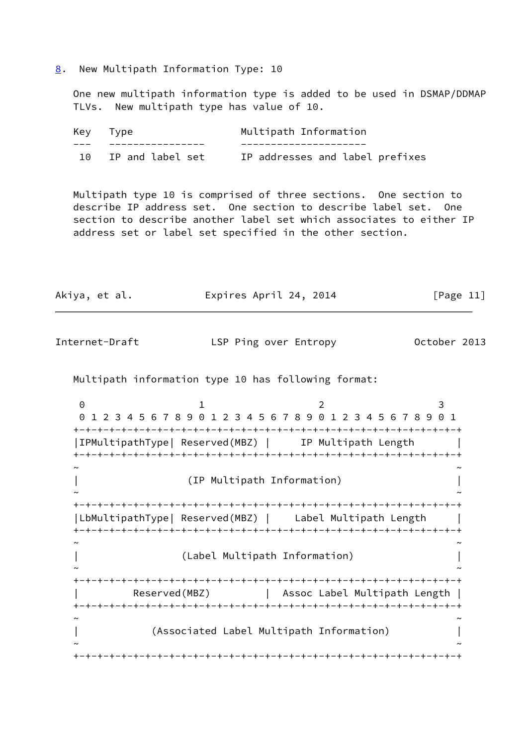<span id="page-12-0"></span>[8](#page-12-0). New Multipath Information Type: 10

 One new multipath information type is added to be used in DSMAP/DDMAP TLVs. New multipath type has value of 10.

| Key Type |                  | Multipath Information           |
|----------|------------------|---------------------------------|
|          |                  |                                 |
|          | IP and label set | IP addresses and label prefixes |

 Multipath type 10 is comprised of three sections. One section to describe IP address set. One section to describe label set. One section to describe another label set which associates to either IP address set or label set specified in the other section.

Akiya, et al. Expires April 24, 2014 [Page 11]

| Internet-Draft         | LSP Ping over Entropy                                                                                   | October 2013 |
|------------------------|---------------------------------------------------------------------------------------------------------|--------------|
|                        | Multipath information type 10 has following format:                                                     |              |
| $\Theta$<br>1.         | 2<br>0 1 2 3 4 5 6 7 8 9 0 1 2 3 4 5 6 7 8 9 0 1 2 3 4 5 6 7 8 9 0 1<br>-+-+-+-+-+-+-+-+-+-+-+-+-+-+-+- | 3            |
|                        | IPMultipathType  Reserved(MBZ)      IP Multipath Length                                                 |              |
|                        | (IP Multipath Information)                                                                              |              |
|                        | LbMultipathType  Reserved(MBZ)   Label Multipath Length                                                 |              |
|                        | (Label Multipath Information)                                                                           |              |
| +-+-+-+-+-+-+-+-+-+-+- | Reserved(MBZ)   Assoc Label Multipath Length                                                            |              |
|                        | (Associated Label Multipath Information)                                                                |              |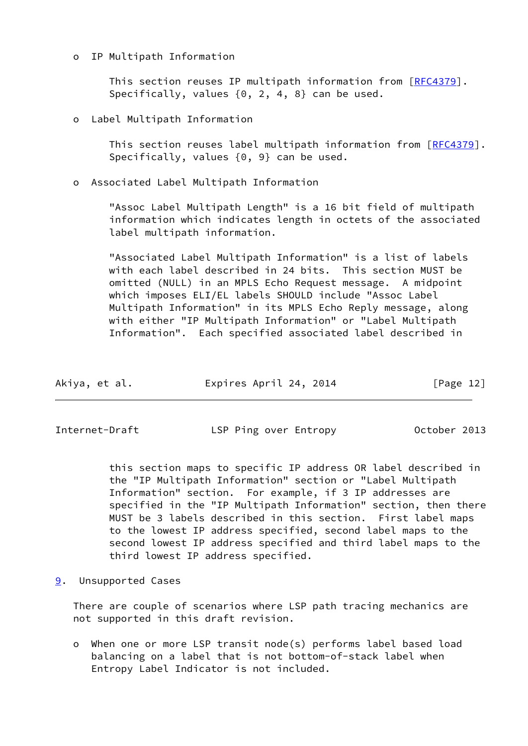## o IP Multipath Information

 This section reuses IP multipath information from [\[RFC4379](https://datatracker.ietf.org/doc/pdf/rfc4379)]. Specifically, values {0, 2, 4, 8} can be used.

Label Multipath Information

 This section reuses label multipath information from [[RFC4379\]](https://datatracker.ietf.org/doc/pdf/rfc4379). Specifically, values {0, 9} can be used.

o Associated Label Multipath Information

 "Assoc Label Multipath Length" is a 16 bit field of multipath information which indicates length in octets of the associated label multipath information.

 "Associated Label Multipath Information" is a list of labels with each label described in 24 bits. This section MUST be omitted (NULL) in an MPLS Echo Request message. A midpoint which imposes ELI/EL labels SHOULD include "Assoc Label Multipath Information" in its MPLS Echo Reply message, along with either "IP Multipath Information" or "Label Multipath Information". Each specified associated label described in

| Akiya, et al. | Expires April 24, 2014 | [Page 12] |
|---------------|------------------------|-----------|
|               |                        |           |

<span id="page-13-1"></span>Internet-Draft LSP Ping over Entropy October 2013

 this section maps to specific IP address OR label described in the "IP Multipath Information" section or "Label Multipath Information" section. For example, if 3 IP addresses are specified in the "IP Multipath Information" section, then there MUST be 3 labels described in this section. First label maps to the lowest IP address specified, second label maps to the second lowest IP address specified and third label maps to the third lowest IP address specified.

<span id="page-13-0"></span>[9](#page-13-0). Unsupported Cases

 There are couple of scenarios where LSP path tracing mechanics are not supported in this draft revision.

 o When one or more LSP transit node(s) performs label based load balancing on a label that is not bottom-of-stack label when Entropy Label Indicator is not included.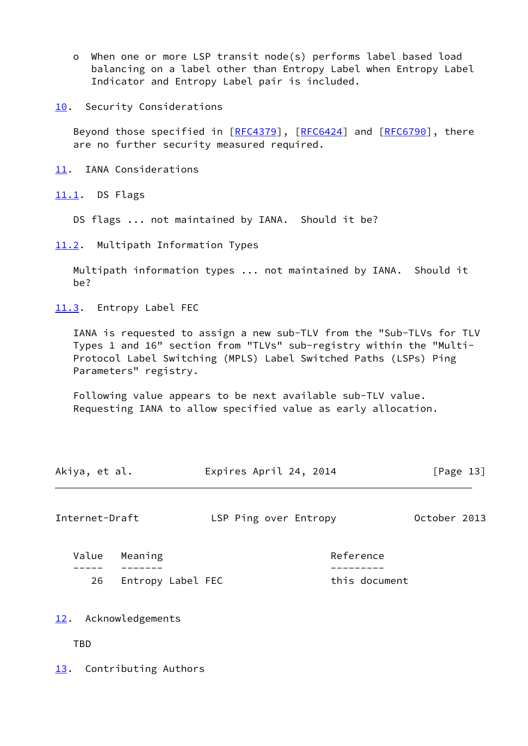- o When one or more LSP transit node(s) performs label based load balancing on a label other than Entropy Label when Entropy Label Indicator and Entropy Label pair is included.
- <span id="page-14-0"></span>[10.](#page-14-0) Security Considerations

 Beyond those specified in [[RFC4379](https://datatracker.ietf.org/doc/pdf/rfc4379)], [\[RFC6424](https://datatracker.ietf.org/doc/pdf/rfc6424)] and [[RFC6790\]](https://datatracker.ietf.org/doc/pdf/rfc6790), there are no further security measured required.

- <span id="page-14-1"></span>[11.](#page-14-1) IANA Considerations
- <span id="page-14-2"></span>[11.1](#page-14-2). DS Flags

DS flags ... not maintained by IANA. Should it be?

<span id="page-14-3"></span>[11.2](#page-14-3). Multipath Information Types

 Multipath information types ... not maintained by IANA. Should it be?

<span id="page-14-4"></span>[11.3](#page-14-4). Entropy Label FEC

 IANA is requested to assign a new sub-TLV from the "Sub-TLVs for TLV Types 1 and 16" section from "TLVs" sub-registry within the "Multi- Protocol Label Switching (MPLS) Label Switched Paths (LSPs) Ping Parameters" registry.

 Following value appears to be next available sub-TLV value. Requesting IANA to allow specified value as early allocation.

| Akiya, et al. | Expires April 24, 2014 | [Page 13] |
|---------------|------------------------|-----------|
|               |                        |           |

<span id="page-14-6"></span>Internet-Draft LSP Ping over Entropy October 2013

Value Meaning **Reference**  ----- ------- --------- 26 Entropy Label FEC this document

- <span id="page-14-5"></span>[12.](#page-14-5) Acknowledgements
	- TBD

<span id="page-14-7"></span>[13.](#page-14-7) Contributing Authors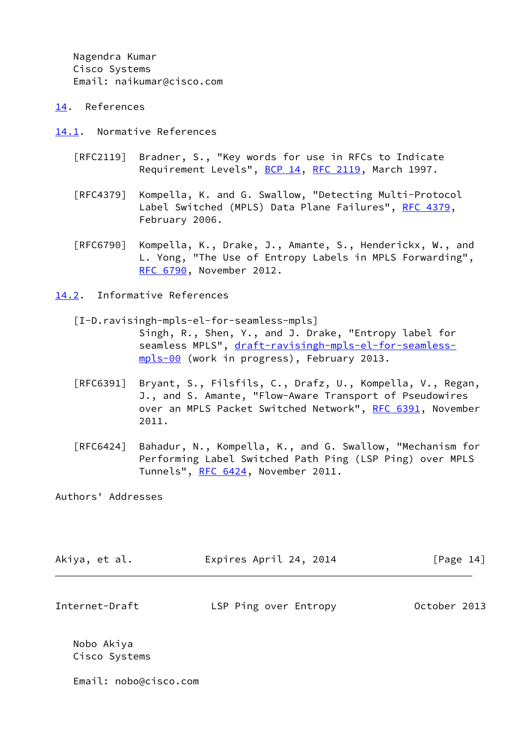Nagendra Kumar Cisco Systems Email: naikumar@cisco.com

- <span id="page-15-0"></span>[14.](#page-15-0) References
- <span id="page-15-1"></span>[14.1](#page-15-1). Normative References
	- [RFC2119] Bradner, S., "Key words for use in RFCs to Indicate Requirement Levels", [BCP 14](https://datatracker.ietf.org/doc/pdf/bcp14), [RFC 2119](https://datatracker.ietf.org/doc/pdf/rfc2119), March 1997.
	- [RFC4379] Kompella, K. and G. Swallow, "Detecting Multi-Protocol Label Switched (MPLS) Data Plane Failures", [RFC 4379,](https://datatracker.ietf.org/doc/pdf/rfc4379) February 2006.
	- [RFC6790] Kompella, K., Drake, J., Amante, S., Henderickx, W., and L. Yong, "The Use of Entropy Labels in MPLS Forwarding", [RFC 6790,](https://datatracker.ietf.org/doc/pdf/rfc6790) November 2012.

<span id="page-15-2"></span>[14.2](#page-15-2). Informative References

- <span id="page-15-3"></span> [I-D.ravisingh-mpls-el-for-seamless-mpls] Singh, R., Shen, Y., and J. Drake, "Entropy label for seamless MPLS", [draft-ravisingh-mpls-el-for-seamless](https://datatracker.ietf.org/doc/pdf/draft-ravisingh-mpls-el-for-seamless-mpls-00) [mpls-00](https://datatracker.ietf.org/doc/pdf/draft-ravisingh-mpls-el-for-seamless-mpls-00) (work in progress), February 2013.
- [RFC6391] Bryant, S., Filsfils, C., Drafz, U., Kompella, V., Regan, J., and S. Amante, "Flow-Aware Transport of Pseudowires over an MPLS Packet Switched Network", [RFC 6391](https://datatracker.ietf.org/doc/pdf/rfc6391), November 2011.
- [RFC6424] Bahadur, N., Kompella, K., and G. Swallow, "Mechanism for Performing Label Switched Path Ping (LSP Ping) over MPLS Tunnels", [RFC 6424](https://datatracker.ietf.org/doc/pdf/rfc6424), November 2011.

Authors' Addresses

| Akiya, et al.  | Expires April 24, 2014 | [Page 14]    |
|----------------|------------------------|--------------|
|                |                        |              |
| Internet-Draft | LSP Ping over Entropy  | October 2013 |

 Nobo Akiya Cisco Systems

Email: nobo@cisco.com